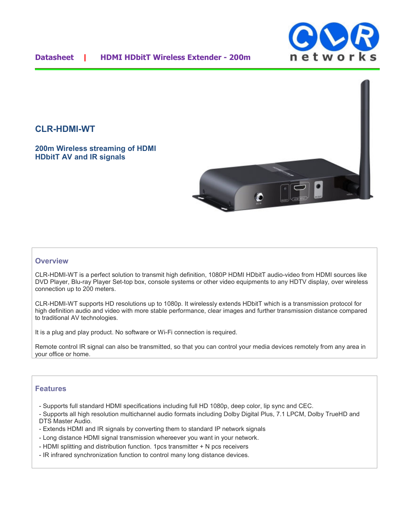

## **CLR-HDMI-WT**

**200m Wireless streaming of HDMI HDbitT AV and IR signals** 



### **Overview**

CLR-HDMI-WT is a perfect solution to transmit high definition, 1080P HDMI HDbitT audio-video from HDMI sources like DVD Player, Blu-ray Player Set-top box, console systems or other video equipments to any HDTV display, over wireless connection up to 200 meters.

CLR-HDMI-WT supports HD resolutions up to 1080p. It wirelessly extends HDbitT which is a transmission protocol for high definition audio and video with more stable performance, clear images and further transmission distance compared to traditional AV technologies.

It is a plug and play product. No software or Wi-Fi connection is required.

Remote control IR signal can also be transmitted, so that you can control your media devices remotely from any area in your office or home.

#### **Features**

- Supports full standard HDMI specifications including full HD 1080p, deep color, lip sync and CEC.
- Supports all high resolution multichannel audio formats including Dolby Digital Plus, 7.1 LPCM, Dolby TrueHD and DTS Master Audio.
- Extends HDMI and IR signals by converting them to standard IP network signals
- Long distance HDMI signal transmission whereever you want in your network.
- HDMI splitting and distribution function. 1pcs transmitter + N pcs receivers
- IR infrared synchronization function to control many long distance devices.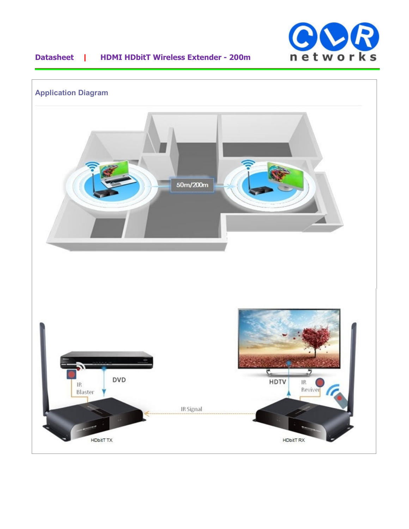

# **Datasheet | HDMI HDbitT Wireless Extender - 200m**